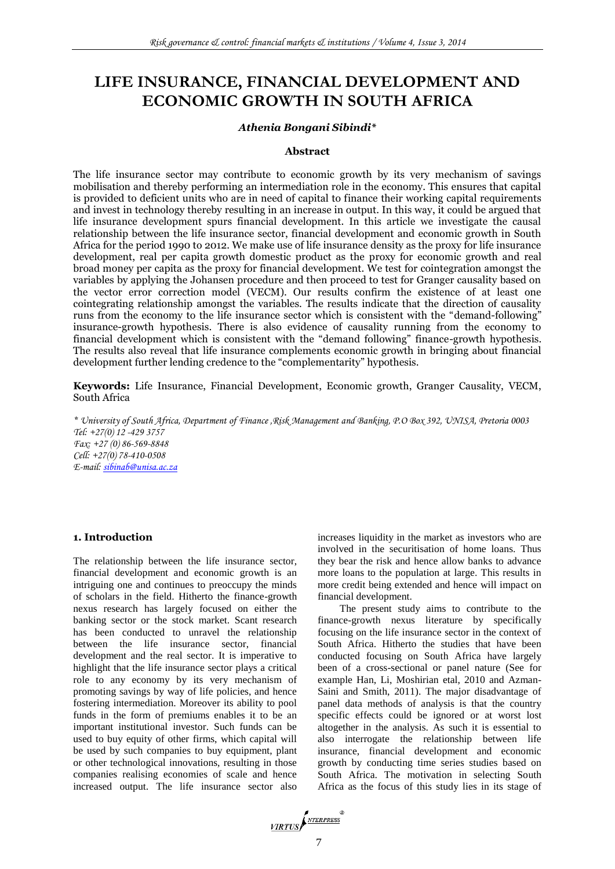# **LIFE INSURANCE, FINANCIAL DEVELOPMENT AND ECONOMIC GROWTH IN SOUTH AFRICA**

# *Athenia Bongani Sibindi\**

## **Abstract**

The life insurance sector may contribute to economic growth by its very mechanism of savings mobilisation and thereby performing an intermediation role in the economy. This ensures that capital is provided to deficient units who are in need of capital to finance their working capital requirements and invest in technology thereby resulting in an increase in output. In this way, it could be argued that life insurance development spurs financial development. In this article we investigate the causal relationship between the life insurance sector, financial development and economic growth in South Africa for the period 1990 to 2012. We make use of life insurance density as the proxy for life insurance development, real per capita growth domestic product as the proxy for economic growth and real broad money per capita as the proxy for financial development. We test for cointegration amongst the variables by applying the Johansen procedure and then proceed to test for Granger causality based on the vector error correction model (VECM). Our results confirm the existence of at least one cointegrating relationship amongst the variables. The results indicate that the direction of causality runs from the economy to the life insurance sector which is consistent with the "demand-following" insurance-growth hypothesis. There is also evidence of causality running from the economy to financial development which is consistent with the "demand following" finance-growth hypothesis. The results also reveal that life insurance complements economic growth in bringing about financial development further lending credence to the "complementarity" hypothesis.

**Keywords:** Life Insurance, Financial Development, Economic growth, Granger Causality, VECM, South Africa

*\* University of South Africa, Department of Finance ,Risk Management and Banking, P.O Box 392, UNISA, Pretoria 0003 Tel: +27(0) 12 -429 3757 Fax: +27 (0) 86-569-8848 Cell: +27(0) 78-410-0508 E-mail: [sibinab@unisa.ac.za](mailto:sibinab@unisa.ac.za)*

# **1. Introduction**

The relationship between the life insurance sector, financial development and economic growth is an intriguing one and continues to preoccupy the minds of scholars in the field. Hitherto the finance-growth nexus research has largely focused on either the banking sector or the stock market. Scant research has been conducted to unravel the relationship between the life insurance sector, financial development and the real sector. It is imperative to highlight that the life insurance sector plays a critical role to any economy by its very mechanism of promoting savings by way of life policies, and hence fostering intermediation. Moreover its ability to pool funds in the form of premiums enables it to be an important institutional investor. Such funds can be used to buy equity of other firms, which capital will be used by such companies to buy equipment, plant or other technological innovations, resulting in those companies realising economies of scale and hence increased output. The life insurance sector also increases liquidity in the market as investors who are involved in the securitisation of home loans. Thus they bear the risk and hence allow banks to advance more loans to the population at large. This results in more credit being extended and hence will impact on financial development.

The present study aims to contribute to the finance-growth nexus literature by specifically focusing on the life insurance sector in the context of South Africa. Hitherto the studies that have been conducted focusing on South Africa have largely been of a cross-sectional or panel nature (See for example Han, Li, Moshirian etal, 2010 and Azman-Saini and Smith, 2011). The major disadvantage of panel data methods of analysis is that the country specific effects could be ignored or at worst lost altogether in the analysis. As such it is essential to also interrogate the relationship between life insurance, financial development and economic growth by conducting time series studies based on South Africa. The motivation in selecting South Africa as the focus of this study lies in its stage of

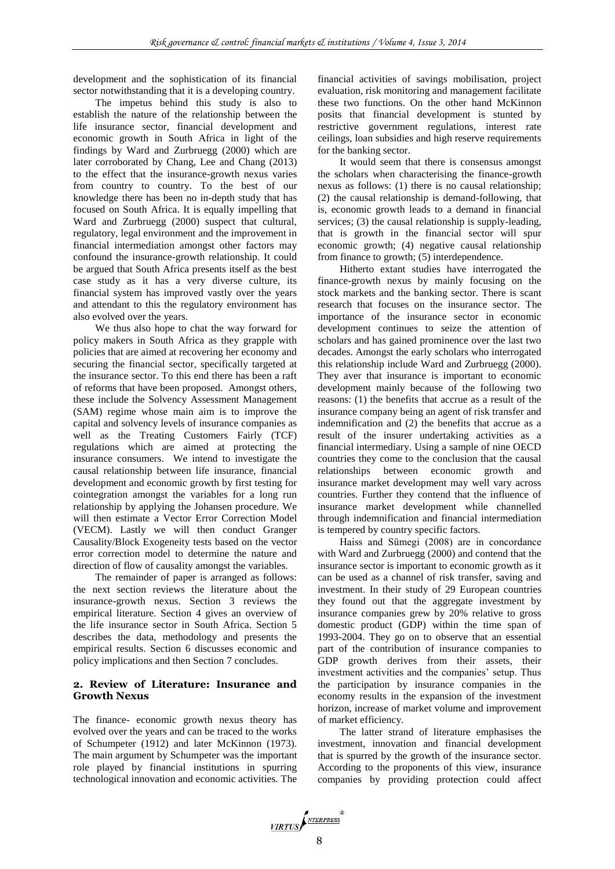development and the sophistication of its financial sector notwithstanding that it is a developing country.

The impetus behind this study is also to establish the nature of the relationship between the life insurance sector, financial development and economic growth in South Africa in light of the findings by Ward and Zurbruegg (2000) which are later corroborated by Chang, Lee and Chang (2013) to the effect that the insurance-growth nexus varies from country to country. To the best of our knowledge there has been no in-depth study that has focused on South Africa. It is equally impelling that Ward and Zurbruegg (2000) suspect that cultural, regulatory, legal environment and the improvement in financial intermediation amongst other factors may confound the insurance-growth relationship. It could be argued that South Africa presents itself as the best case study as it has a very diverse culture, its financial system has improved vastly over the years and attendant to this the regulatory environment has also evolved over the years.

We thus also hope to chat the way forward for policy makers in South Africa as they grapple with policies that are aimed at recovering her economy and securing the financial sector, specifically targeted at the insurance sector. To this end there has been a raft of reforms that have been proposed. Amongst others, these include the Solvency Assessment Management (SAM) regime whose main aim is to improve the capital and solvency levels of insurance companies as well as the Treating Customers Fairly (TCF) regulations which are aimed at protecting the insurance consumers. We intend to investigate the causal relationship between life insurance, financial development and economic growth by first testing for cointegration amongst the variables for a long run relationship by applying the Johansen procedure. We will then estimate a Vector Error Correction Model (VECM). Lastly we will then conduct Granger Causality/Block Exogeneity tests based on the vector error correction model to determine the nature and direction of flow of causality amongst the variables.

The remainder of paper is arranged as follows: the next section reviews the literature about the insurance-growth nexus. Section 3 reviews the empirical literature. Section 4 gives an overview of the life insurance sector in South Africa. Section 5 describes the data, methodology and presents the empirical results. Section 6 discusses economic and policy implications and then Section 7 concludes.

# **2. Review of Literature: Insurance and Growth Nexus**

The finance- economic growth nexus theory has evolved over the years and can be traced to the works of Schumpeter (1912) and later McKinnon (1973). The main argument by Schumpeter was the important role played by financial institutions in spurring technological innovation and economic activities. The

financial activities of savings mobilisation, project evaluation, risk monitoring and management facilitate these two functions. On the other hand McKinnon posits that financial development is stunted by restrictive government regulations, interest rate ceilings, loan subsidies and high reserve requirements for the banking sector.

It would seem that there is consensus amongst the scholars when characterising the finance-growth nexus as follows: (1) there is no causal relationship; (2) the causal relationship is demand-following, that is, economic growth leads to a demand in financial services; (3) the causal relationship is supply-leading, that is growth in the financial sector will spur economic growth; (4) negative causal relationship from finance to growth; (5) interdependence.

Hitherto extant studies have interrogated the finance-growth nexus by mainly focusing on the stock markets and the banking sector. There is scant research that focuses on the insurance sector. The importance of the insurance sector in economic development continues to seize the attention of scholars and has gained prominence over the last two decades. Amongst the early scholars who interrogated this relationship include Ward and Zurbruegg (2000). They aver that insurance is important to economic development mainly because of the following two reasons: (1) the benefits that accrue as a result of the insurance company being an agent of risk transfer and indemnification and (2) the benefits that accrue as a result of the insurer undertaking activities as a financial intermediary. Using a sample of nine OECD countries they come to the conclusion that the causal relationships between economic growth and insurance market development may well vary across countries. Further they contend that the influence of insurance market development while channelled through indemnification and financial intermediation is tempered by country specific factors.

Haiss and Sümegi (2008) are in concordance with Ward and Zurbruegg (2000) and contend that the insurance sector is important to economic growth as it can be used as a channel of risk transfer, saving and investment. In their study of 29 European countries they found out that the aggregate investment by insurance companies grew by 20% relative to gross domestic product (GDP) within the time span of 1993-2004. They go on to observe that an essential part of the contribution of insurance companies to GDP growth derives from their assets, their investment activities and the companies' setup. Thus the participation by insurance companies in the economy results in the expansion of the investment horizon, increase of market volume and improvement of market efficiency.

The latter strand of literature emphasises the investment, innovation and financial development that is spurred by the growth of the insurance sector. According to the proponents of this view, insurance companies by providing protection could affect

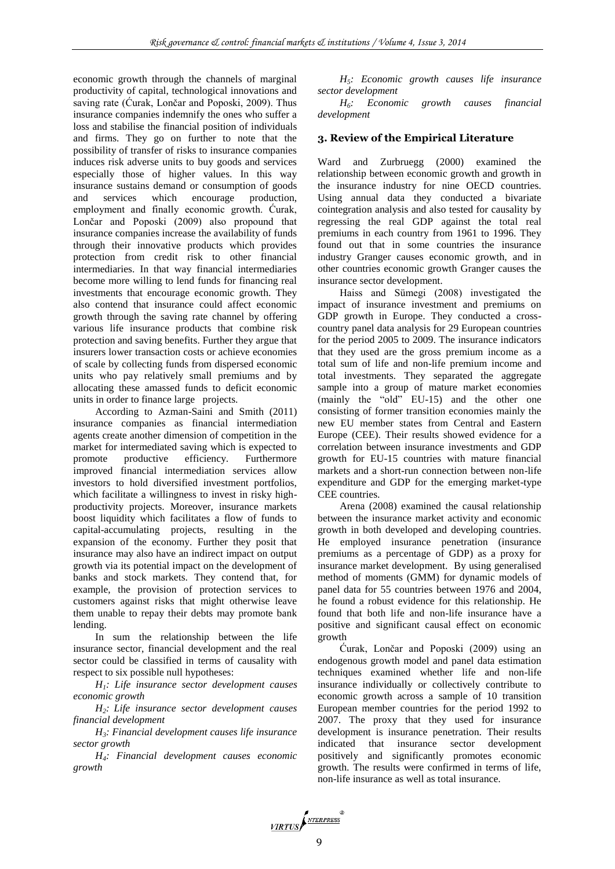economic growth through the channels of marginal productivity of capital, technological innovations and saving rate (Ćurak, Lončar and Poposki, 2009). Thus insurance companies indemnify the ones who suffer a loss and stabilise the financial position of individuals and firms. They go on further to note that the possibility of transfer of risks to insurance companies induces risk adverse units to buy goods and services especially those of higher values. In this way insurance sustains demand or consumption of goods and services which encourage production, employment and finally economic growth. Ćurak, Lončar and Poposki (2009) also propound that insurance companies increase the availability of funds through their innovative products which provides protection from credit risk to other financial intermediaries. In that way financial intermediaries become more willing to lend funds for financing real investments that encourage economic growth. They also contend that insurance could affect economic growth through the saving rate channel by offering various life insurance products that combine risk protection and saving benefits. Further they argue that insurers lower transaction costs or achieve economies of scale by collecting funds from dispersed economic units who pay relatively small premiums and by allocating these amassed funds to deficit economic units in order to finance large projects.

According to Azman-Saini and Smith (2011) insurance companies as financial intermediation agents create another dimension of competition in the market for intermediated saving which is expected to promote productive efficiency. Furthermore improved financial intermediation services allow investors to hold diversified investment portfolios, which facilitate a willingness to invest in risky highproductivity projects. Moreover, insurance markets boost liquidity which facilitates a flow of funds to capital-accumulating projects, resulting in the expansion of the economy. Further they posit that insurance may also have an indirect impact on output growth via its potential impact on the development of banks and stock markets. They contend that, for example, the provision of protection services to customers against risks that might otherwise leave them unable to repay their debts may promote bank lending.

In sum the relationship between the life insurance sector, financial development and the real sector could be classified in terms of causality with respect to six possible null hypotheses:

*H1: Life insurance sector development causes economic growth*

*H2: Life insurance sector development causes financial development*

*H3: Financial development causes life insurance sector growth*

*H4: Financial development causes economic growth*

*H5: Economic growth causes life insurance sector development*

*H6: Economic growth causes financial development*

# **3. Review of the Empirical Literature**

Ward and Zurbruegg (2000) examined the relationship between economic growth and growth in the insurance industry for nine OECD countries. Using annual data they conducted a bivariate cointegration analysis and also tested for causality by regressing the real GDP against the total real premiums in each country from 1961 to 1996. They found out that in some countries the insurance industry Granger causes economic growth, and in other countries economic growth Granger causes the insurance sector development.

Haiss and Sümegi (2008) investigated the impact of insurance investment and premiums on GDP growth in Europe. They conducted a crosscountry panel data analysis for 29 European countries for the period 2005 to 2009. The insurance indicators that they used are the gross premium income as a total sum of life and non-life premium income and total investments. They separated the aggregate sample into a group of mature market economies (mainly the "old" EU-15) and the other one consisting of former transition economies mainly the new EU member states from Central and Eastern Europe (CEE). Their results showed evidence for a correlation between insurance investments and GDP growth for EU-15 countries with mature financial markets and a short-run connection between non-life expenditure and GDP for the emerging market-type CEE countries.

Arena (2008) examined the causal relationship between the insurance market activity and economic growth in both developed and developing countries. He employed insurance penetration (insurance premiums as a percentage of GDP) as a proxy for insurance market development. By using generalised method of moments (GMM) for dynamic models of panel data for 55 countries between 1976 and 2004, he found a robust evidence for this relationship. He found that both life and non-life insurance have a positive and significant causal effect on economic growth

Ćurak, Lončar and Poposki (2009) using an endogenous growth model and panel data estimation techniques examined whether life and non-life insurance individually or collectively contribute to economic growth across a sample of 10 transition European member countries for the period 1992 to 2007. The proxy that they used for insurance development is insurance penetration. Their results indicated that insurance sector development positively and significantly promotes economic growth. The results were confirmed in terms of life, non-life insurance as well as total insurance.

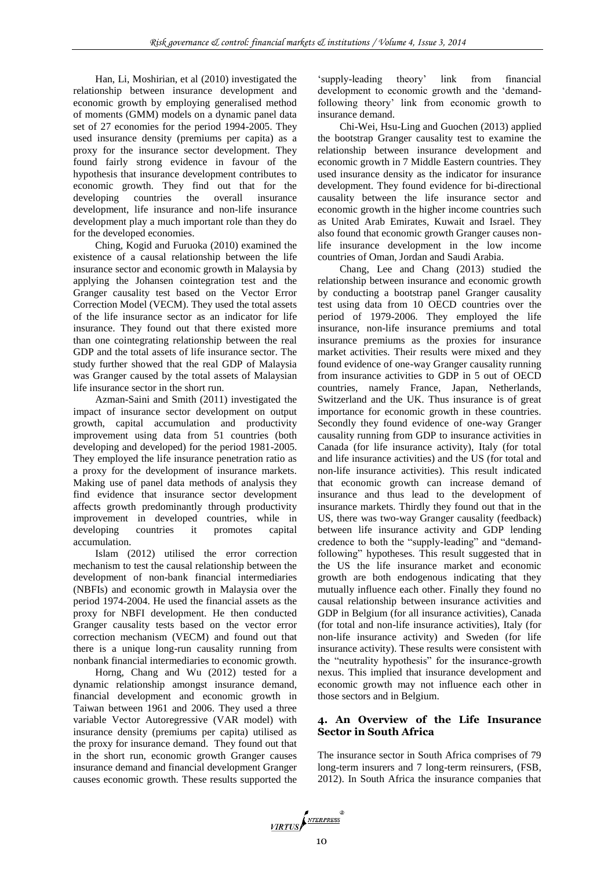Han, Li, Moshirian, et al (2010) investigated the relationship between insurance development and economic growth by employing generalised method of moments (GMM) models on a dynamic panel data set of 27 economies for the period 1994-2005. They used insurance density (premiums per capita) as a proxy for the insurance sector development. They found fairly strong evidence in favour of the hypothesis that insurance development contributes to economic growth. They find out that for the developing countries the overall insurance development, life insurance and non-life insurance development play a much important role than they do for the developed economies.

Ching, Kogid and Furuoka (2010) examined the existence of a causal relationship between the life insurance sector and economic growth in Malaysia by applying the Johansen cointegration test and the Granger causality test based on the Vector Error Correction Model (VECM). They used the total assets of the life insurance sector as an indicator for life insurance. They found out that there existed more than one cointegrating relationship between the real GDP and the total assets of life insurance sector. The study further showed that the real GDP of Malaysia was Granger caused by the total assets of Malaysian life insurance sector in the short run.

Azman-Saini and Smith (2011) investigated the impact of insurance sector development on output growth, capital accumulation and productivity improvement using data from 51 countries (both developing and developed) for the period 1981-2005. They employed the life insurance penetration ratio as a proxy for the development of insurance markets. Making use of panel data methods of analysis they find evidence that insurance sector development affects growth predominantly through productivity improvement in developed countries, while in developing countries it promotes capital accumulation.

Islam (2012) utilised the error correction mechanism to test the causal relationship between the development of non-bank financial intermediaries (NBFIs) and economic growth in Malaysia over the period 1974-2004. He used the financial assets as the proxy for NBFI development. He then conducted Granger causality tests based on the vector error correction mechanism (VECM) and found out that there is a unique long-run causality running from nonbank financial intermediaries to economic growth.

Horng, Chang and Wu (2012) tested for a dynamic relationship amongst insurance demand, financial development and economic growth in Taiwan between 1961 and 2006. They used a three variable Vector Autoregressive (VAR model) with insurance density (premiums per capita) utilised as the proxy for insurance demand. They found out that in the short run, economic growth Granger causes insurance demand and financial development Granger causes economic growth. These results supported the

'supply-leading theory' link from financial development to economic growth and the 'demandfollowing theory' link from economic growth to insurance demand.

Chi-Wei, Hsu-Ling and Guochen (2013) applied the bootstrap Granger causality test to examine the relationship between insurance development and economic growth in 7 Middle Eastern countries. They used insurance density as the indicator for insurance development. They found evidence for bi-directional causality between the life insurance sector and economic growth in the higher income countries such as United Arab Emirates, Kuwait and Israel. They also found that economic growth Granger causes nonlife insurance development in the low income countries of Oman, Jordan and Saudi Arabia.

Chang, Lee and Chang (2013) studied the relationship between insurance and economic growth by conducting a bootstrap panel Granger causality test using data from 10 OECD countries over the period of 1979-2006. They employed the life insurance, non-life insurance premiums and total insurance premiums as the proxies for insurance market activities. Their results were mixed and they found evidence of one-way Granger causality running from insurance activities to GDP in 5 out of OECD countries, namely France, Japan, Netherlands, Switzerland and the UK. Thus insurance is of great importance for economic growth in these countries. Secondly they found evidence of one-way Granger causality running from GDP to insurance activities in Canada (for life insurance activity), Italy (for total and life insurance activities) and the US (for total and non-life insurance activities). This result indicated that economic growth can increase demand of insurance and thus lead to the development of insurance markets. Thirdly they found out that in the US, there was two-way Granger causality (feedback) between life insurance activity and GDP lending credence to both the "supply-leading" and "demandfollowing" hypotheses. This result suggested that in the US the life insurance market and economic growth are both endogenous indicating that they mutually influence each other. Finally they found no causal relationship between insurance activities and GDP in Belgium (for all insurance activities), Canada (for total and non-life insurance activities), Italy (for non-life insurance activity) and Sweden (for life insurance activity). These results were consistent with the "neutrality hypothesis" for the insurance-growth nexus. This implied that insurance development and economic growth may not influence each other in those sectors and in Belgium.

# **4. An Overview of the Life Insurance Sector in South Africa**

The insurance sector in South Africa comprises of 79 long-term insurers and 7 long-term reinsurers, (FSB, 2012). In South Africa the insurance companies that

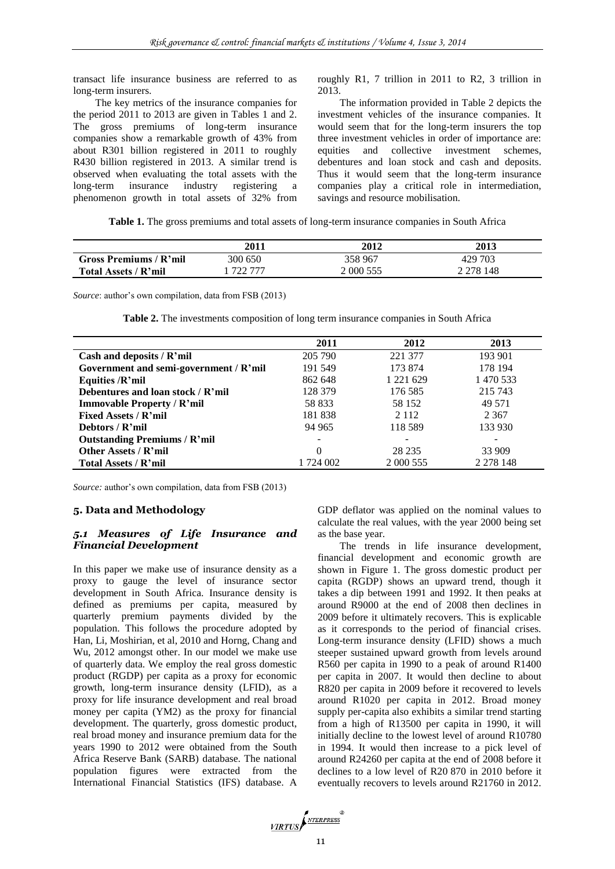transact life insurance business are referred to as long-term insurers.

The key metrics of the insurance companies for the period 2011 to 2013 are given in Tables 1 and 2. The gross premiums of long-term insurance companies show a remarkable growth of 43% from about R301 billion registered in 2011 to roughly R430 billion registered in 2013. A similar trend is observed when evaluating the total assets with the long-term insurance industry registering a phenomenon growth in total assets of 32% from

roughly R1, 7 trillion in 2011 to R2, 3 trillion in 2013.

The information provided in Table 2 depicts the investment vehicles of the insurance companies. It would seem that for the long-term insurers the top three investment vehicles in order of importance are: equities and collective investment schemes, debentures and loan stock and cash and deposits. Thus it would seem that the long-term insurance companies play a critical role in intermediation, savings and resource mobilisation.

**Table 1.** The gross premiums and total assets of long-term insurance companies in South Africa

|                        | 2011    | 2012      | <b>2013</b>   |
|------------------------|---------|-----------|---------------|
| Gross Premiums / R'mil | 300 650 | 358 967   | 429 703       |
| Total Assets / R'mil   | דדד ררד | 2 000 555 | 2 2 7 8 1 4 8 |

*Source*: author's own compilation, data from FSB (2013)

**Table 2.** The investments composition of long term insurance companies in South Africa

|                                        | 2011      | 2012          | 2013      |
|----------------------------------------|-----------|---------------|-----------|
| Cash and deposits / R'mil              | 205 790   | 221 377       | 193 901   |
| Government and semi-government / R'mil | 191 549   | 173 874       | 178 194   |
| Equities /R'mil                        | 862 648   | 1 2 2 1 6 2 9 | 1 470 533 |
| Debentures and loan stock / R'mil      | 128 379   | 176 585       | 215 743   |
| <b>Immovable Property / R'mil</b>      | 58 833    | 58 152        | 49 571    |
| Fixed Assets / R'mil                   | 181838    | 2 1 1 2       | 2 3 6 7   |
| Debtors $/R3$ mil                      | 94 965    | 118.589       | 133 930   |
| <b>Outstanding Premiums / R'mil</b>    |           |               |           |
| Other Assets / R'mil                   | 0         | 28 235        | 33 909    |
| Total Assets / R'mil                   | 1 724 002 | 2 000 555     | 2 278 148 |

*Source:* author's own compilation, data from FSB (2013)

# **5. Data and Methodology**

## *5.1 Measures of Life Insurance and Financial Development*

In this paper we make use of insurance density as a proxy to gauge the level of insurance sector development in South Africa. Insurance density is defined as premiums per capita, measured by quarterly premium payments divided by the population. This follows the procedure adopted by Han, Li, Moshirian, et al, 2010 and Horng, Chang and Wu, 2012 amongst other. In our model we make use of quarterly data. We employ the real gross domestic product (RGDP) per capita as a proxy for economic growth, long-term insurance density (LFID), as a proxy for life insurance development and real broad money per capita (YM2) as the proxy for financial development. The quarterly, gross domestic product, real broad money and insurance premium data for the years 1990 to 2012 were obtained from the South Africa Reserve Bank (SARB) database. The national population figures were extracted from the International Financial Statistics (IFS) database. A

GDP deflator was applied on the nominal values to calculate the real values, with the year 2000 being set as the base year.

The trends in life insurance development, financial development and economic growth are shown in Figure 1. The gross domestic product per capita (RGDP) shows an upward trend, though it takes a dip between 1991 and 1992. It then peaks at around R9000 at the end of 2008 then declines in 2009 before it ultimately recovers. This is explicable as it corresponds to the period of financial crises. Long-term insurance density (LFID) shows a much steeper sustained upward growth from levels around R560 per capita in 1990 to a peak of around R1400 per capita in 2007. It would then decline to about R820 per capita in 2009 before it recovered to levels around R1020 per capita in 2012. Broad money supply per-capita also exhibits a similar trend starting from a high of R13500 per capita in 1990, it will initially decline to the lowest level of around R10780 in 1994. It would then increase to a pick level of around R24260 per capita at the end of 2008 before it declines to a low level of R20 870 in 2010 before it eventually recovers to levels around R21760 in 2012.

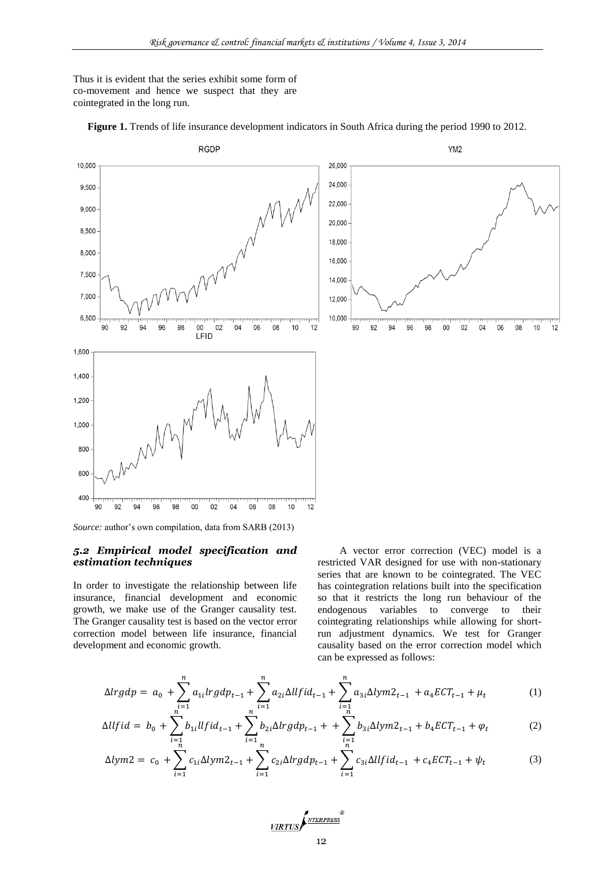Thus it is evident that the series exhibit some form of co-movement and hence we suspect that they are cointegrated in the long run.





## *5.2 Empirical model specification and estimation techniques*

In order to investigate the relationship between life insurance, financial development and economic growth, we make use of the Granger causality test. The Granger causality test is based on the vector error correction model between life insurance, financial development and economic growth.

A vector error correction (VEC) model is a restricted VAR designed for use with non-stationary series that are known to be cointegrated. The VEC has cointegration relations built into the specification so that it restricts the long run behaviour of the endogenous variables to converge to their cointegrating relationships while allowing for shortrun adjustment dynamics. We test for Granger causality based on the error correction model which can be expressed as follows:

$$
\Delta lrgdp = a_0 + \sum_{i=1}^{n} a_{1i} lrgdp_{t-1} + \sum_{i=1}^{n} a_{2i} \Delta l l f id_{t-1} + \sum_{i=1}^{n} a_{3i} \Delta l y m 2_{t-1} + a_4 ECT_{t-1} + \mu_t
$$
 (1)

$$
\Delta l l f i d = b_0 + \sum_{i=1}^{n} b_{1i} l l f i d_{t-1} + \sum_{i=1}^{n} b_{2i} \Delta l r g d p_{t-1} + \sum_{i=1}^{n} b_{3i} \Delta l y m 2_{t-1} + b_4 E C T_{t-1} + \varphi_t
$$
 (2)

$$
\Delta lym2 = c_0 + \sum_{i=1}^{n} c_{1i} \Delta lym2_{t-1} + \sum_{i=1}^{n} c_{2i} \Delta lrgdp_{t-1} + \sum_{i=1}^{n} c_{3i} \Delta llfid_{t-1} + c_4 ECT_{t-1} + \psi_t
$$
(3)



*Source:* author's own compilation, data from SARB (2013)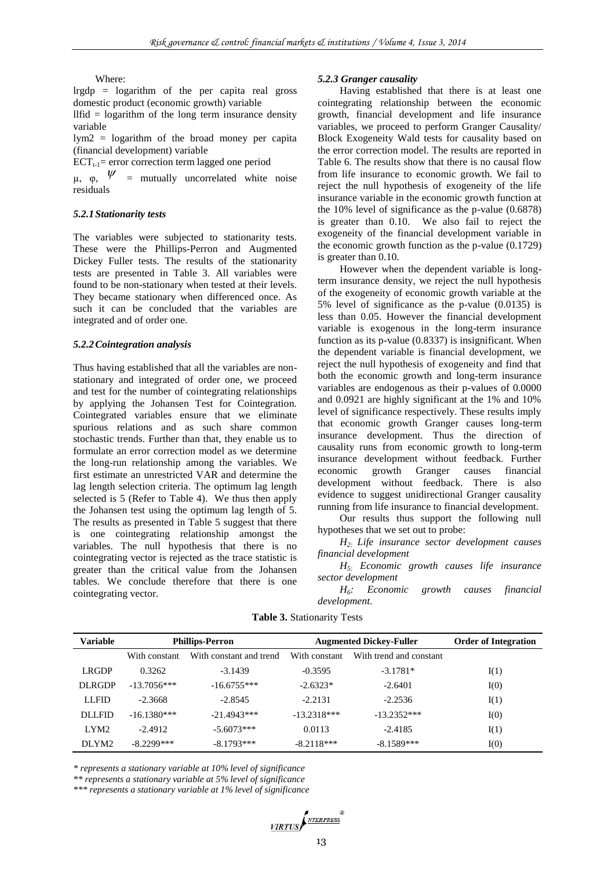Where:

lrgdp = logarithm of the per capita real gross domestic product (economic growth) variable

llfid  $=$  logarithm of the long term insurance density variable

lym2 = logarithm of the broad money per capita (financial development) variable

 $\text{ECT}_{t-1}$  error correction term lagged one period

 $\mu$ ,  $\varphi$ ,  $\psi$  = mutually uncorrelated white noise residuals

#### *5.2.1Stationarity tests*

The variables were subjected to stationarity tests. These were the Phillips-Perron and Augmented Dickey Fuller tests. The results of the stationarity tests are presented in Table 3. All variables were found to be non-stationary when tested at their levels. They became stationary when differenced once. As such it can be concluded that the variables are integrated and of order one.

## *5.2.2Cointegration analysis*

Thus having established that all the variables are nonstationary and integrated of order one, we proceed and test for the number of cointegrating relationships by applying the Johansen Test for Cointegration. Cointegrated variables ensure that we eliminate spurious relations and as such share common stochastic trends. Further than that, they enable us to formulate an error correction model as we determine the long-run relationship among the variables. We first estimate an unrestricted VAR and determine the lag length selection criteria. The optimum lag length selected is 5 (Refer to Table 4). We thus then apply the Johansen test using the optimum lag length of 5. The results as presented in Table 5 suggest that there is one cointegrating relationship amongst the variables. The null hypothesis that there is no cointegrating vector is rejected as the trace statistic is greater than the critical value from the Johansen tables. We conclude therefore that there is one cointegrating vector.

#### *5.2.3 Granger causality*

Having established that there is at least one cointegrating relationship between the economic growth, financial development and life insurance variables, we proceed to perform Granger Causality/ Block Exogeneity Wald tests for causality based on the error correction model. The results are reported in Table 6. The results show that there is no causal flow from life insurance to economic growth. We fail to reject the null hypothesis of exogeneity of the life insurance variable in the economic growth function at the 10% level of significance as the p-value (0.6878) is greater than 0.10. We also fail to reject the exogeneity of the financial development variable in the economic growth function as the p-value (0.1729) is greater than 0.10.

However when the dependent variable is longterm insurance density, we reject the null hypothesis of the exogeneity of economic growth variable at the 5% level of significance as the p-value (0.0135) is less than 0.05. However the financial development variable is exogenous in the long-term insurance function as its p-value (0.8337) is insignificant. When the dependent variable is financial development, we reject the null hypothesis of exogeneity and find that both the economic growth and long-term insurance variables are endogenous as their p-values of 0.0000 and 0.0921 are highly significant at the 1% and 10% level of significance respectively. These results imply that economic growth Granger causes long-term insurance development. Thus the direction of causality runs from economic growth to long-term insurance development without feedback. Further economic growth Granger causes financial development without feedback. There is also evidence to suggest unidirectional Granger causality running from life insurance to financial development.

Our results thus support the following null hypotheses that we set out to probe:

*H2: Life insurance sector development causes financial development*

*H5: Economic growth causes life insurance sector development*

*H6: Economic growth causes financial development.*

| Variable         | <b>Phillips-Perron</b> |                         |               | <b>Augmented Dickey-Fuller</b> | <b>Order of Integration</b> |
|------------------|------------------------|-------------------------|---------------|--------------------------------|-----------------------------|
|                  | With constant          | With constant and trend | With constant | With trend and constant        |                             |
| <b>LRGDP</b>     | 0.3262                 | $-3.1439$               | $-0.3595$     | $-3.1781*$                     | I(1)                        |
| <b>DLRGDP</b>    | $-13.7056***$          | $-16.6755***$           | $-2.6323*$    | $-2.6401$                      | I(0)                        |
| <b>LLFID</b>     | $-2.3668$              | $-2.8545$               | $-2.2131$     | $-2.2536$                      | I(1)                        |
| <b>DLLFID</b>    | $-16.1380***$          | $-21.4943***$           | $-13.2318***$ | $-13.2352***$                  | I(0)                        |
| LYM <sub>2</sub> | $-2.4912$              | $-5.6073***$            | 0.0113        | $-2.4185$                      | I(1)                        |
| DLYM2            | $-8.2299***$           | $-8.1793***$            | $-8.2118***$  | $-8.1589***$                   | I(0)                        |

**Table 3.** Stationarity Tests

*\* represents a stationary variable at 10% level of significance*

*\*\* represents a stationary variable at 5% level of significance*

*\*\*\* represents a stationary variable at 1% level of significance*

VIRTUS PERPRESS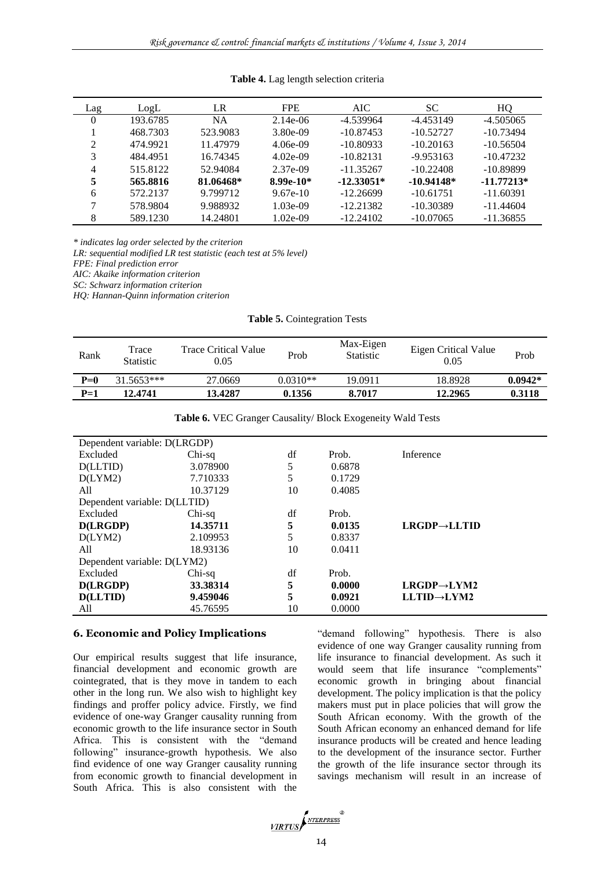| Lag      | LogL     | LR        | <b>FPE</b>  | AIC.         | <b>SC</b>    | HQ           |
|----------|----------|-----------|-------------|--------------|--------------|--------------|
| $\Omega$ | 193.6785 | <b>NA</b> | $2.14e-06$  | $-4.539964$  | $-4.453149$  | $-4.505065$  |
|          | 468.7303 | 523.9083  | $3.80e-09$  | $-10.87453$  | $-10.52727$  | $-10.73494$  |
| ∍        | 474.9921 | 11.47979  | $4.06e-09$  | $-10.80933$  | $-10.20163$  | $-10.56504$  |
| 3        | 484.4951 | 16.74345  | $4.02e-09$  | $-10.82131$  | $-9.953163$  | $-10.47232$  |
| 4        | 515.8122 | 52.94084  | 2.37e-09    | $-11.35267$  | $-10.22408$  | $-10.89899$  |
| 5        | 565.8816 | 81.06468* | $8.99e-10*$ | $-12.33051*$ | $-10.94148*$ | $-11.77213*$ |
| 6        | 572.2137 | 9.799712  | $9.67e-10$  | $-12.26699$  | $-10.61751$  | $-11.60391$  |
|          | 578.9804 | 9.988932  | $1.03e-09$  | $-12.21382$  | -10.30389    | $-11.44604$  |
| 8        | 589.1230 | 14.24801  | $1.02e-09$  | $-12.24102$  | $-10.07065$  | $-11.36855$  |

#### **Table 4.** Lag length selection criteria

*\* indicates lag order selected by the criterion*

*LR: sequential modified LR test statistic (each test at 5% level)*

*FPE: Final prediction error*

*AIC: Akaike information criterion*

*SC: Schwarz information criterion*

*HQ: Hannan-Quinn information criterion*

**Table 5.** Cointegration Tests

| Rank  | Trace<br><b>Statistic</b> | Trace Critical Value<br>0.05 | Prob     | Max-Eigen<br><b>Statistic</b> | Eigen Critical Value<br>0.05 | Prob      |
|-------|---------------------------|------------------------------|----------|-------------------------------|------------------------------|-----------|
| $P=0$ | $31.5653***$              | 27.0669                      | 0.0310** | 19.0911                       | 18.8928                      | $0.0942*$ |
| $P=1$ | 12.4741                   | 13.4287                      | 0.1356   | 8.7017                        | 12.2965                      | 0.3118    |

|  |  |  |  |  | Table 6. VEC Granger Causality/ Block Exogeneity Wald Tests |  |  |
|--|--|--|--|--|-------------------------------------------------------------|--|--|
|--|--|--|--|--|-------------------------------------------------------------|--|--|

| Dependent variable: D(LRGDP) |          |    |        |                           |  |  |
|------------------------------|----------|----|--------|---------------------------|--|--|
| Excluded                     | $Chi-sq$ | df | Prob.  | Inference                 |  |  |
| D(LLTID)                     | 3.078900 | 5  | 0.6878 |                           |  |  |
| D(LYM2)                      | 7.710333 | 5  | 0.1729 |                           |  |  |
| All                          | 10.37129 | 10 | 0.4085 |                           |  |  |
| Dependent variable: D(LLTID) |          |    |        |                           |  |  |
| Excluded                     | Chi-sq   | df | Prob.  |                           |  |  |
| D(LRGDP)                     | 14.35711 | 5  | 0.0135 | $LRGDP \rightarrow LLTID$ |  |  |
| D(LYM2)                      | 2.109953 | 5  | 0.8337 |                           |  |  |
| All                          | 18.93136 | 10 | 0.0411 |                           |  |  |
| Dependent variable: D(LYM2)  |          |    |        |                           |  |  |
| Excluded                     | $Chi-sq$ | df | Prob.  |                           |  |  |
| D(LRGDP)                     | 33.38314 | 5  | 0.0000 | $LRGDP \rightarrow LYM2$  |  |  |
| D(LLTID)                     | 9.459046 | 5  | 0.0921 | $LLTID \rightarrow LYM2$  |  |  |
| All                          | 45.76595 | 10 | 0.0000 |                           |  |  |

#### **6. Economic and Policy Implications**

Our empirical results suggest that life insurance, financial development and economic growth are cointegrated, that is they move in tandem to each other in the long run. We also wish to highlight key findings and proffer policy advice. Firstly, we find evidence of one-way Granger causality running from economic growth to the life insurance sector in South Africa. This is consistent with the "demand following" insurance-growth hypothesis. We also find evidence of one way Granger causality running from economic growth to financial development in South Africa. This is also consistent with the

"demand following" hypothesis. There is also evidence of one way Granger causality running from life insurance to financial development. As such it would seem that life insurance "complements" economic growth in bringing about financial development. The policy implication is that the policy makers must put in place policies that will grow the South African economy. With the growth of the South African economy an enhanced demand for life insurance products will be created and hence leading to the development of the insurance sector. Further the growth of the life insurance sector through its savings mechanism will result in an increase of